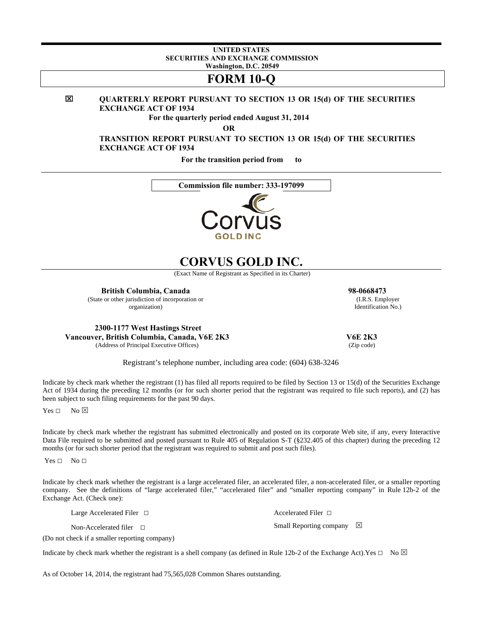#### **UNITED STATES SECURITIES AND EXCHANGE COMMISSION Washington, D.C. 20549**

# **FORM 10-Q**

**QUARTERLY REPORT PURSUANT TO SECTION 13 OR 15(d) OF THE SECURITIES EXCHANGE ACT OF 1934** 

**For the quarterly period ended August 31, 2014** 

**OR** 

 **TRANSITION REPORT PURSUANT TO SECTION 13 OR 15(d) OF THE SECURITIES EXCHANGE ACT OF 1934** 

**For the transition period from to** 

**Commission file number: 333-197099**



# **CORVUS GOLD INC.**

(Exact Name of Registrant as Specified in its Charter)

**British Columbia, Canada 98-0668473**  (State or other jurisdiction of incorporation or

organization)

**2300-1177 West Hastings Street Vancouver, British Columbia, Canada, V6E 2K3**  (Address of Principal Executive Offices)

 **V6E 2K3**  (Zip code)

Small Reporting company  $\boxtimes$ 

 (I.R.S. Employer Identification No.)

Registrant's telephone number, including area code: (604) 638-3246

Indicate by check mark whether the registrant (1) has filed all reports required to be filed by Section 13 or 15(d) of the Securities Exchange Act of 1934 during the preceding 12 months (or for such shorter period that the registrant was required to file such reports), and (2) has been subject to such filing requirements for the past 90 days.

Yes □ No ⊠

Indicate by check mark whether the registrant has submitted electronically and posted on its corporate Web site, if any, every Interactive Data File required to be submitted and posted pursuant to Rule 405 of Regulation S-T (§232.405 of this chapter) during the preceding 12 months (or for such shorter period that the registrant was required to submit and post such files).

Yes **□** No **□**

Indicate by check mark whether the registrant is a large accelerated filer, an accelerated filer, a non-accelerated filer, or a smaller reporting company. See the definitions of "large accelerated filer," "accelerated filer" and "smaller reporting company" in Rule 12b-2 of the Exchange Act. (Check one):

Large Accelerated Filer **□** Accelerated Filer **□**

Non-Accelerated filer **□**

(Do not check if a smaller reporting company)

Indicate by check mark whether the registrant is a shell company (as defined in Rule 12b-2 of the Exchange Act).Yes  $\Box$  No  $\boxtimes$ 

As of October 14, 2014, the registrant had 75,565,028 Common Shares outstanding.

図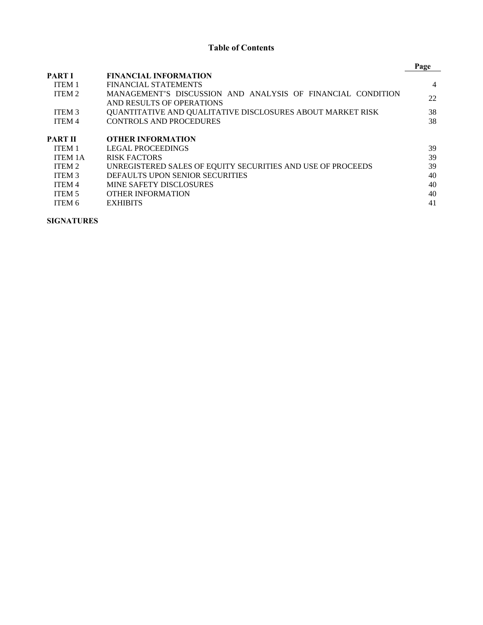# **Table of Contents**

|                   |                                                                   | Page |
|-------------------|-------------------------------------------------------------------|------|
| <b>PART I</b>     | <b>FINANCIAL INFORMATION</b>                                      |      |
| ITEM <sub>1</sub> | <b>FINANCIAL STATEMENTS</b>                                       | 4    |
| ITEM 2            | MANAGEMENT'S DISCUSSION AND ANALYSIS OF FINANCIAL CONDITION       | 22   |
|                   | AND RESULTS OF OPERATIONS                                         |      |
| ITEM <sub>3</sub> | <b>OUANTITATIVE AND OUALITATIVE DISCLOSURES ABOUT MARKET RISK</b> | 38   |
| <b>ITEM4</b>      | <b>CONTROLS AND PROCEDURES</b>                                    | 38   |
| PART II           | <b>OTHER INFORMATION</b>                                          |      |
| ITEM <sub>1</sub> | LEGAL PROCEEDINGS                                                 | 39   |
| <b>ITEM 1A</b>    | <b>RISK FACTORS</b>                                               | 39   |
| ITEM 2            | UNREGISTERED SALES OF EQUITY SECURITIES AND USE OF PROCEEDS       | 39   |
| <b>ITEM 3</b>     | DEFAULTS UPON SENIOR SECURITIES                                   | 40   |
| ITEM 4            | <b>MINE SAFETY DISCLOSURES</b>                                    | 40   |
| ITEM 5            | <b>OTHER INFORMATION</b>                                          | 40   |
| ITEM 6            | <b>EXHIBITS</b>                                                   | 41   |

**SIGNATURES**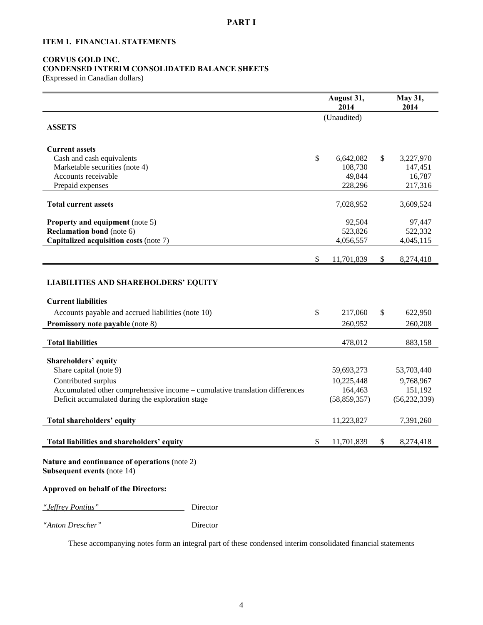# **ITEM 1. FINANCIAL STATEMENTS**

# **CORVUS GOLD INC.**

**CONDENSED INTERIM CONSOLIDATED BALANCE SHEETS**  (Expressed in Canadian dollars)

|                                                                                                                                 | August 31,<br>2014 | May 31,<br>2014 |
|---------------------------------------------------------------------------------------------------------------------------------|--------------------|-----------------|
|                                                                                                                                 | (Unaudited)        |                 |
| <b>ASSETS</b>                                                                                                                   |                    |                 |
| <b>Current assets</b>                                                                                                           |                    |                 |
| Cash and cash equivalents                                                                                                       | \$<br>6,642,082    | \$<br>3,227,970 |
| Marketable securities (note 4)                                                                                                  | 108,730            | 147,451         |
| Accounts receivable                                                                                                             | 49,844             | 16,787          |
| Prepaid expenses                                                                                                                | 228,296            | 217,316         |
| <b>Total current assets</b>                                                                                                     | 7,028,952          | 3,609,524       |
| Property and equipment (note 5)                                                                                                 | 92,504             | 97,447          |
| <b>Reclamation bond</b> (note 6)                                                                                                | 523,826            | 522,332         |
| Capitalized acquisition costs (note 7)                                                                                          | 4,056,557          | 4,045,115       |
|                                                                                                                                 | \$<br>11,701,839   | \$<br>8,274,418 |
|                                                                                                                                 |                    |                 |
| <b>LIABILITIES AND SHAREHOLDERS' EQUITY</b>                                                                                     |                    |                 |
| <b>Current liabilities</b>                                                                                                      |                    |                 |
| Accounts payable and accrued liabilities (note 10)                                                                              | \$<br>217,060      | \$<br>622,950   |
| <b>Promissory note payable (note 8)</b>                                                                                         | 260,952            | 260,208         |
| <b>Total liabilities</b>                                                                                                        | 478,012            | 883,158         |
|                                                                                                                                 |                    |                 |
| Shareholders' equity                                                                                                            |                    |                 |
| Share capital (note 9)                                                                                                          | 59,693,273         | 53,703,440      |
| Contributed surplus                                                                                                             | 10,225,448         | 9,768,967       |
| Accumulated other comprehensive income - cumulative translation differences<br>Deficit accumulated during the exploration stage | 164,463            | 151,192         |
|                                                                                                                                 | (58, 859, 357)     | (56, 232, 339)  |
| Total shareholders' equity                                                                                                      | 11,223,827         | 7,391,260       |
|                                                                                                                                 |                    |                 |
| Total liabilities and shareholders' equity                                                                                      | \$<br>11,701,839   | \$<br>8,274,418 |
| Nature and continuance of operations (note 2)<br>Subsequent events (note 14)                                                    |                    |                 |
| Approved on behalf of the Directors:                                                                                            |                    |                 |
| "Jeffrey Pontius"<br>Director                                                                                                   |                    |                 |
| "Anton Drescher"<br>Director                                                                                                    |                    |                 |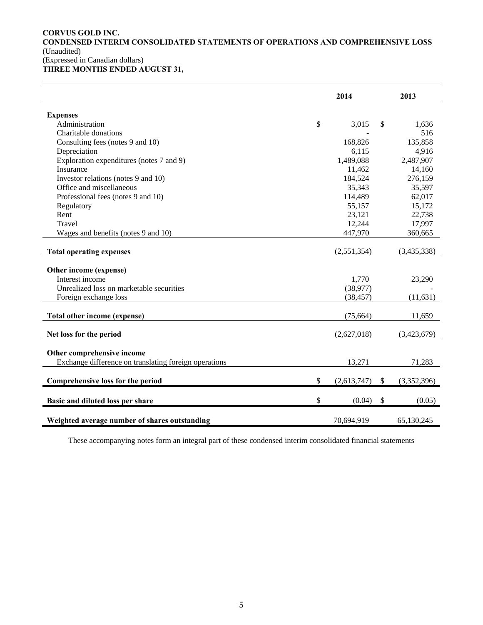# **CORVUS GOLD INC. CONDENSED INTERIM CONSOLIDATED STATEMENTS OF OPERATIONS AND COMPREHENSIVE LOSS**  (Unaudited) (Expressed in Canadian dollars)

**THREE MONTHS ENDED AUGUST 31,** 

|                                                       | 2014              | 2013              |
|-------------------------------------------------------|-------------------|-------------------|
| <b>Expenses</b>                                       |                   |                   |
| Administration                                        | \$<br>3,015       | \$<br>1,636       |
| Charitable donations                                  |                   | 516               |
| Consulting fees (notes 9 and 10)                      | 168,826           | 135,858           |
| Depreciation                                          | 6,115             | 4,916             |
| Exploration expenditures (notes 7 and 9)              | 1,489,088         | 2,487,907         |
| Insurance                                             | 11,462            | 14,160            |
| Investor relations (notes 9 and 10)                   | 184,524           | 276,159           |
| Office and miscellaneous                              | 35,343            | 35,597            |
| Professional fees (notes 9 and 10)                    | 114,489           | 62,017            |
| Regulatory                                            | 55,157            | 15,172            |
| Rent                                                  | 23,121            | 22,738            |
| Travel                                                | 12,244            | 17,997            |
| Wages and benefits (notes 9 and 10)                   | 447,970           | 360,665           |
| <b>Total operating expenses</b>                       | (2,551,354)       | (3,435,338)       |
| Other income (expense)                                |                   |                   |
| Interest income                                       | 1,770             | 23,290            |
| Unrealized loss on marketable securities              | (38,977)          |                   |
| Foreign exchange loss                                 | (38, 457)         | (11, 631)         |
| Total other income (expense)                          | (75,664)          | 11,659            |
| Net loss for the period                               | (2,627,018)       | (3,423,679)       |
| Other comprehensive income                            |                   |                   |
| Exchange difference on translating foreign operations | 13,271            | 71,283            |
| Comprehensive loss for the period                     | \$<br>(2,613,747) | \$<br>(3,352,396) |
| Basic and diluted loss per share                      | \$<br>(0.04)      | \$<br>(0.05)      |
| Weighted average number of shares outstanding         | 70,694,919        | 65,130,245        |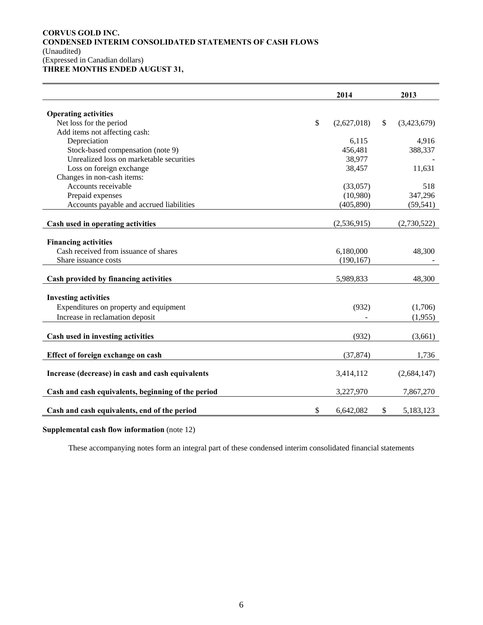# **CORVUS GOLD INC. CONDENSED INTERIM CONSOLIDATED STATEMENTS OF CASH FLOWS**  (Unaudited) (Expressed in Canadian dollars) **THREE MONTHS ENDED AUGUST 31,**

|                                                    | 2014              | 2013              |
|----------------------------------------------------|-------------------|-------------------|
|                                                    |                   |                   |
| <b>Operating activities</b>                        |                   |                   |
| Net loss for the period                            | \$<br>(2,627,018) | \$<br>(3,423,679) |
| Add items not affecting cash:                      |                   |                   |
| Depreciation                                       | 6,115             | 4,916             |
| Stock-based compensation (note 9)                  | 456,481           | 388,337           |
| Unrealized loss on marketable securities           | 38,977            |                   |
| Loss on foreign exchange                           | 38,457            | 11,631            |
| Changes in non-cash items:                         |                   |                   |
| Accounts receivable                                | (33,057)          | 518               |
| Prepaid expenses                                   | (10,980)          | 347,296           |
| Accounts payable and accrued liabilities           | (405, 890)        | (59, 541)         |
|                                                    |                   |                   |
| Cash used in operating activities                  | (2,536,915)       | (2,730,522)       |
| <b>Financing activities</b>                        |                   |                   |
|                                                    |                   |                   |
| Cash received from issuance of shares              | 6,180,000         | 48,300            |
| Share issuance costs                               | (190, 167)        |                   |
| Cash provided by financing activities              | 5,989,833         | 48,300            |
|                                                    |                   |                   |
| <b>Investing activities</b>                        |                   |                   |
| Expenditures on property and equipment             | (932)             | (1,706)           |
| Increase in reclamation deposit                    |                   | (1,955)           |
|                                                    |                   |                   |
| Cash used in investing activities                  | (932)             | (3,661)           |
| Effect of foreign exchange on cash                 | (37, 874)         | 1,736             |
|                                                    |                   |                   |
| Increase (decrease) in cash and cash equivalents   | 3,414,112         | (2,684,147)       |
| Cash and cash equivalents, beginning of the period | 3,227,970         | 7,867,270         |
|                                                    |                   |                   |
| Cash and cash equivalents, end of the period       | \$<br>6,642,082   | \$<br>5,183,123   |

**Supplemental cash flow information** (note 12)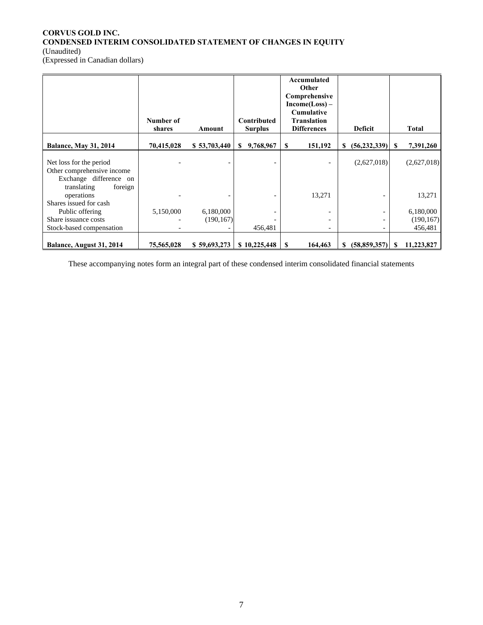# **CORVUS GOLD INC. CONDENSED INTERIM CONSOLIDATED STATEMENT OF CHANGES IN EQUITY**  (Unaudited)

(Expressed in Canadian dollars)

|                                                                                 | Number of<br>shares | Amount       | Contributed<br><b>Surplus</b> | Accumulated<br>Other<br>Comprehensive<br>$Income(Loss) -$<br><b>Cumulative</b><br><b>Translation</b><br><b>Differences</b> | <b>Deficit</b>                  | <b>Total</b>    |  |
|---------------------------------------------------------------------------------|---------------------|--------------|-------------------------------|----------------------------------------------------------------------------------------------------------------------------|---------------------------------|-----------------|--|
| <b>Balance, May 31, 2014</b>                                                    | 70,415,028          | \$53,703,440 | 9,768,967<br>S.               | 151,192<br>S                                                                                                               | (56, 232, 339)<br><sup>\$</sup> | 7,391,260<br>S  |  |
| Net loss for the period<br>Other comprehensive income<br>Exchange difference on |                     |              |                               |                                                                                                                            | (2,627,018)                     | (2,627,018)     |  |
| translating<br>foreign<br>operations<br>Shares issued for cash                  |                     |              |                               | 13,271                                                                                                                     |                                 | 13,271          |  |
| Public offering                                                                 | 5,150,000           | 6,180,000    |                               |                                                                                                                            |                                 | 6,180,000       |  |
| Share issuance costs                                                            |                     | (190, 167)   |                               |                                                                                                                            |                                 | (190, 167)      |  |
| Stock-based compensation                                                        |                     |              | 456,481                       | $\overline{\phantom{0}}$                                                                                                   | $\overline{\phantom{a}}$        | 456,481         |  |
| Balance, August 31, 2014                                                        | 75,565,028          | \$59,693,273 | \$10,225,448                  | 164,463<br>$\mathbf{s}$                                                                                                    | (58, 859, 357)<br><sup>\$</sup> | 11,223,827<br>S |  |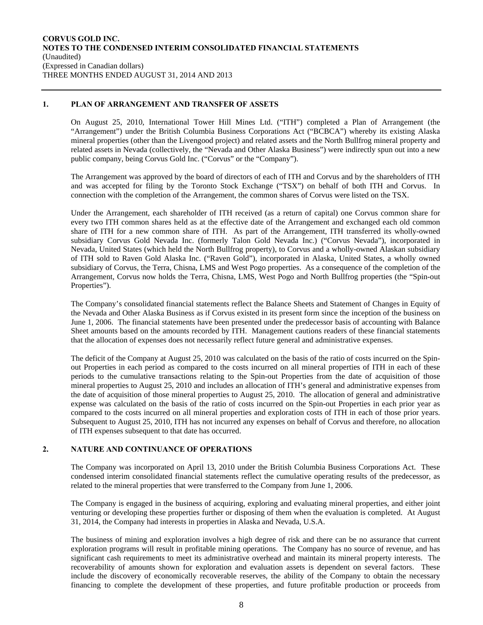# **1. PLAN OF ARRANGEMENT AND TRANSFER OF ASSETS**

On August 25, 2010, International Tower Hill Mines Ltd. ("ITH") completed a Plan of Arrangement (the "Arrangement") under the British Columbia Business Corporations Act ("BCBCA") whereby its existing Alaska mineral properties (other than the Livengood project) and related assets and the North Bullfrog mineral property and related assets in Nevada (collectively, the "Nevada and Other Alaska Business") were indirectly spun out into a new public company, being Corvus Gold Inc. ("Corvus" or the "Company").

The Arrangement was approved by the board of directors of each of ITH and Corvus and by the shareholders of ITH and was accepted for filing by the Toronto Stock Exchange ("TSX") on behalf of both ITH and Corvus. In connection with the completion of the Arrangement, the common shares of Corvus were listed on the TSX.

Under the Arrangement, each shareholder of ITH received (as a return of capital) one Corvus common share for every two ITH common shares held as at the effective date of the Arrangement and exchanged each old common share of ITH for a new common share of ITH. As part of the Arrangement, ITH transferred its wholly-owned subsidiary Corvus Gold Nevada Inc. (formerly Talon Gold Nevada Inc.) ("Corvus Nevada"), incorporated in Nevada, United States (which held the North Bullfrog property), to Corvus and a wholly-owned Alaskan subsidiary of ITH sold to Raven Gold Alaska Inc. ("Raven Gold"), incorporated in Alaska, United States, a wholly owned subsidiary of Corvus, the Terra, Chisna, LMS and West Pogo properties. As a consequence of the completion of the Arrangement, Corvus now holds the Terra, Chisna, LMS, West Pogo and North Bullfrog properties (the "Spin-out Properties").

The Company's consolidated financial statements reflect the Balance Sheets and Statement of Changes in Equity of the Nevada and Other Alaska Business as if Corvus existed in its present form since the inception of the business on June 1, 2006. The financial statements have been presented under the predecessor basis of accounting with Balance Sheet amounts based on the amounts recorded by ITH. Management cautions readers of these financial statements that the allocation of expenses does not necessarily reflect future general and administrative expenses.

The deficit of the Company at August 25, 2010 was calculated on the basis of the ratio of costs incurred on the Spinout Properties in each period as compared to the costs incurred on all mineral properties of ITH in each of these periods to the cumulative transactions relating to the Spin-out Properties from the date of acquisition of those mineral properties to August 25, 2010 and includes an allocation of ITH's general and administrative expenses from the date of acquisition of those mineral properties to August 25, 2010. The allocation of general and administrative expense was calculated on the basis of the ratio of costs incurred on the Spin-out Properties in each prior year as compared to the costs incurred on all mineral properties and exploration costs of ITH in each of those prior years. Subsequent to August 25, 2010, ITH has not incurred any expenses on behalf of Corvus and therefore, no allocation of ITH expenses subsequent to that date has occurred.

# **2. NATURE AND CONTINUANCE OF OPERATIONS**

The Company was incorporated on April 13, 2010 under the British Columbia Business Corporations Act. These condensed interim consolidated financial statements reflect the cumulative operating results of the predecessor, as related to the mineral properties that were transferred to the Company from June 1, 2006.

The Company is engaged in the business of acquiring, exploring and evaluating mineral properties, and either joint venturing or developing these properties further or disposing of them when the evaluation is completed. At August 31, 2014, the Company had interests in properties in Alaska and Nevada, U.S.A.

The business of mining and exploration involves a high degree of risk and there can be no assurance that current exploration programs will result in profitable mining operations. The Company has no source of revenue, and has significant cash requirements to meet its administrative overhead and maintain its mineral property interests. The recoverability of amounts shown for exploration and evaluation assets is dependent on several factors. These include the discovery of economically recoverable reserves, the ability of the Company to obtain the necessary financing to complete the development of these properties, and future profitable production or proceeds from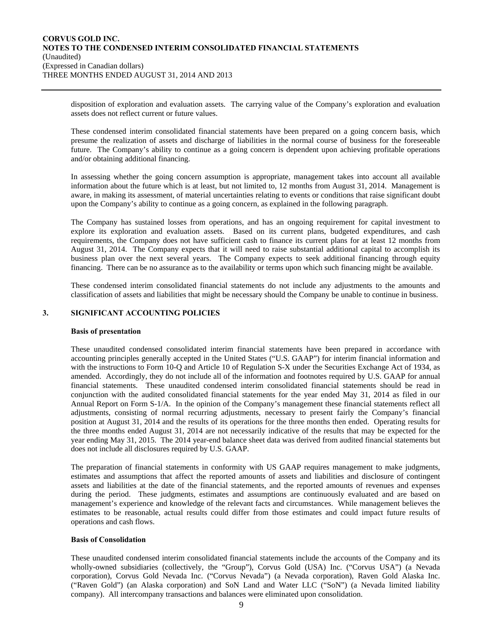disposition of exploration and evaluation assets. The carrying value of the Company's exploration and evaluation assets does not reflect current or future values.

These condensed interim consolidated financial statements have been prepared on a going concern basis, which presume the realization of assets and discharge of liabilities in the normal course of business for the foreseeable future. The Company's ability to continue as a going concern is dependent upon achieving profitable operations and/or obtaining additional financing.

In assessing whether the going concern assumption is appropriate, management takes into account all available information about the future which is at least, but not limited to, 12 months from August 31, 2014. Management is aware, in making its assessment, of material uncertainties relating to events or conditions that raise significant doubt upon the Company's ability to continue as a going concern, as explained in the following paragraph.

The Company has sustained losses from operations, and has an ongoing requirement for capital investment to explore its exploration and evaluation assets. Based on its current plans, budgeted expenditures, and cash requirements, the Company does not have sufficient cash to finance its current plans for at least 12 months from August 31, 2014. The Company expects that it will need to raise substantial additional capital to accomplish its business plan over the next several years. The Company expects to seek additional financing through equity financing. There can be no assurance as to the availability or terms upon which such financing might be available.

These condensed interim consolidated financial statements do not include any adjustments to the amounts and classification of assets and liabilities that might be necessary should the Company be unable to continue in business.

# **3. SIGNIFICANT ACCOUNTING POLICIES**

#### **Basis of presentation**

These unaudited condensed consolidated interim financial statements have been prepared in accordance with accounting principles generally accepted in the United States ("U.S. GAAP") for interim financial information and with the instructions to Form 10-Q and Article 10 of Regulation S-X under the Securities Exchange Act of 1934, as amended. Accordingly, they do not include all of the information and footnotes required by U.S. GAAP for annual financial statements. These unaudited condensed interim consolidated financial statements should be read in conjunction with the audited consolidated financial statements for the year ended May 31, 2014 as filed in our Annual Report on Form S-1/A. In the opinion of the Company's management these financial statements reflect all adjustments, consisting of normal recurring adjustments, necessary to present fairly the Company's financial position at August 31, 2014 and the results of its operations for the three months then ended. Operating results for the three months ended August 31, 2014 are not necessarily indicative of the results that may be expected for the year ending May 31, 2015. The 2014 year-end balance sheet data was derived from audited financial statements but does not include all disclosures required by U.S. GAAP.

The preparation of financial statements in conformity with US GAAP requires management to make judgments, estimates and assumptions that affect the reported amounts of assets and liabilities and disclosure of contingent assets and liabilities at the date of the financial statements, and the reported amounts of revenues and expenses during the period. These judgments, estimates and assumptions are continuously evaluated and are based on management's experience and knowledge of the relevant facts and circumstances. While management believes the estimates to be reasonable, actual results could differ from those estimates and could impact future results of operations and cash flows.

## **Basis of Consolidation**

These unaudited condensed interim consolidated financial statements include the accounts of the Company and its wholly-owned subsidiaries (collectively, the "Group"), Corvus Gold (USA) Inc. ("Corvus USA") (a Nevada corporation), Corvus Gold Nevada Inc. ("Corvus Nevada") (a Nevada corporation), Raven Gold Alaska Inc. ("Raven Gold") (an Alaska corporation) and SoN Land and Water LLC ("SoN") (a Nevada limited liability company). All intercompany transactions and balances were eliminated upon consolidation.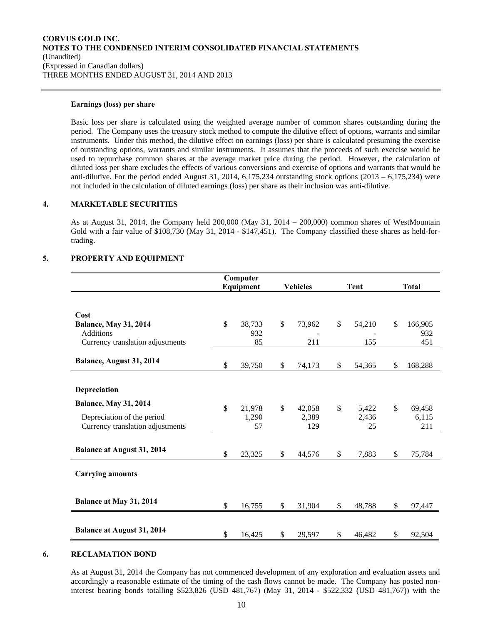# **Earnings (loss) per share**

Basic loss per share is calculated using the weighted average number of common shares outstanding during the period. The Company uses the treasury stock method to compute the dilutive effect of options, warrants and similar instruments. Under this method, the dilutive effect on earnings (loss) per share is calculated presuming the exercise of outstanding options, warrants and similar instruments. It assumes that the proceeds of such exercise would be used to repurchase common shares at the average market price during the period. However, the calculation of diluted loss per share excludes the effects of various conversions and exercise of options and warrants that would be anti-dilutive. For the period ended August 31, 2014,  $6,175,234$  outstanding stock options (2013 –  $6,175,234$ ) were not included in the calculation of diluted earnings (loss) per share as their inclusion was anti-dilutive.

# **4. MARKETABLE SECURITIES**

As at August 31, 2014, the Company held 200,000 (May 31, 2014 – 200,000) common shares of WestMountain Gold with a fair value of \$108,730 (May 31, 2014 - \$147,451). The Company classified these shares as held-fortrading.

## **5. PROPERTY AND EQUIPMENT**

|                                   |              | Computer |                 |        |              |        |               |
|-----------------------------------|--------------|----------|-----------------|--------|--------------|--------|---------------|
|                                   | Equipment    |          | <b>Vehicles</b> |        | Tent         |        | <b>Total</b>  |
|                                   |              |          |                 |        |              |        |               |
| Cost                              |              |          |                 |        |              |        |               |
| <b>Balance, May 31, 2014</b>      | $\mathbb{S}$ | 38,733   | \$              | 73,962 | $\mathbb{S}$ | 54,210 | \$<br>166,905 |
| <b>Additions</b>                  |              | 932      |                 |        |              |        | 932           |
| Currency translation adjustments  |              | 85       |                 | 211    |              | 155    | 451           |
| Balance, August 31, 2014          | \$           | 39,750   | \$              | 74,173 | \$           | 54,365 | \$<br>168,288 |
|                                   |              |          |                 |        |              |        |               |
| Depreciation                      |              |          |                 |        |              |        |               |
| <b>Balance, May 31, 2014</b>      | \$           | 21,978   | $\mathbb{S}$    | 42,058 | \$           | 5,422  | \$<br>69,458  |
| Depreciation of the period        |              | 1,290    |                 | 2,389  |              | 2,436  | 6,115         |
| Currency translation adjustments  |              | 57       |                 | 129    |              | 25     | 211           |
|                                   |              |          |                 |        |              |        |               |
| <b>Balance at August 31, 2014</b> | \$           | 23,325   | \$              | 44,576 | \$           | 7,883  | \$<br>75,784  |
| <b>Carrying amounts</b>           |              |          |                 |        |              |        |               |
| Balance at May 31, 2014           | \$           | 16,755   | \$              | 31,904 | \$           | 48,788 | \$<br>97,447  |
|                                   |              |          |                 |        |              |        |               |
| <b>Balance at August 31, 2014</b> | \$           | 16,425   | \$              | 29,597 | \$           | 46,482 | \$<br>92,504  |

#### **6. RECLAMATION BOND**

As at August 31, 2014 the Company has not commenced development of any exploration and evaluation assets and accordingly a reasonable estimate of the timing of the cash flows cannot be made. The Company has posted noninterest bearing bonds totalling \$523,826 (USD 481,767) (May 31, 2014 - \$522,332 (USD 481,767)) with the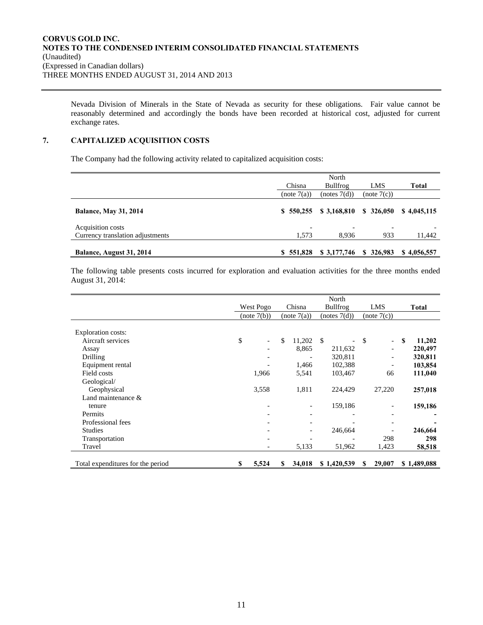Nevada Division of Minerals in the State of Nevada as security for these obligations. Fair value cannot be reasonably determined and accordingly the bonds have been recorded at historical cost, adjusted for current exchange rates.

# **7. CAPITALIZED ACQUISITION COSTS**

The Company had the following activity related to capitalized acquisition costs:

|                                  | Chisna                   | North<br>Bullfrog | LMS         | <b>Total</b> |
|----------------------------------|--------------------------|-------------------|-------------|--------------|
|                                  | (note 7(a))              | (notes 7(d))      | (note 7(c)) |              |
| <b>Balance, May 31, 2014</b>     | \$550.255                | \$3,168,810       | \$326,050   | \$4,045,115  |
| Acquisition costs                | $\overline{\phantom{0}}$ |                   |             |              |
| Currency translation adjustments | 1,573                    | 8.936             | 933         | 11,442       |
| Balance, August 31, 2014         | \$551,828                | \$3,177,746       | \$326,983   | \$4,056,557  |

The following table presents costs incurred for exploration and evaluation activities for the three months ended August 31, 2014:

|                                   | North     |             |             |        |              |                        |             |                          |              |             |
|-----------------------------------|-----------|-------------|-------------|--------|--------------|------------------------|-------------|--------------------------|--------------|-------------|
|                                   | West Pogo |             |             | Chisna |              | <b>Bullfrog</b><br>LMS |             |                          | <b>Total</b> |             |
|                                   |           | (note 7(b)) | (note 7(a)) |        | (notes 7(d)) |                        | (note 7(c)) |                          |              |             |
|                                   |           |             |             |        |              |                        |             |                          |              |             |
| <b>Exploration costs:</b>         |           |             |             |        |              |                        |             |                          |              |             |
| Aircraft services                 | \$        |             | \$          | 11,202 | -S           |                        | \$          | $\equiv$                 | <b>S</b>     | 11,202      |
| Assay                             |           |             |             | 8,865  |              | 211,632                |             | $\overline{\phantom{a}}$ |              | 220,497     |
| Drilling                          |           |             |             |        |              | 320,811                |             | $\overline{\phantom{a}}$ |              | 320,811     |
| Equipment rental                  |           |             |             | 1,466  |              | 102,388                |             |                          |              | 103,854     |
| Field costs                       |           | 1,966       |             | 5,541  |              | 103,467                |             | 66                       |              | 111,040     |
| Geological/                       |           |             |             |        |              |                        |             |                          |              |             |
| Geophysical                       |           | 3,558       |             | 1,811  |              | 224,429                |             | 27,220                   |              | 257,018     |
| Land maintenance $\&$             |           |             |             |        |              |                        |             |                          |              |             |
| tenure                            |           |             |             |        |              | 159,186                |             |                          |              | 159,186     |
| Permits                           |           |             |             |        |              |                        |             |                          |              |             |
| Professional fees                 |           |             |             |        |              |                        |             |                          |              |             |
| <b>Studies</b>                    |           |             |             |        |              | 246,664                |             |                          |              | 246,664     |
| Transportation                    |           |             |             |        |              |                        |             | 298                      |              | 298         |
| Travel                            |           |             |             | 5,133  |              | 51,962                 |             | 1,423                    |              | 58,518      |
| Total expenditures for the period | \$        | 5,524       | \$          | 34,018 |              | \$1,420,539            | S           | 29,007                   |              | \$1,489,088 |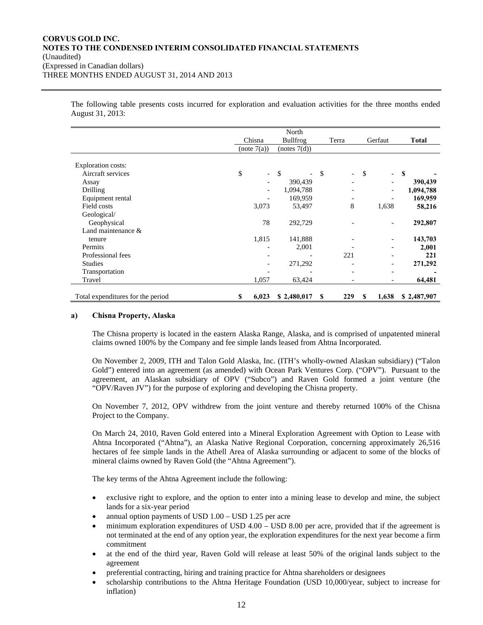The following table presents costs incurred for exploration and evaluation activities for the three months ended August 31, 2013:

|                                   | North                             |                                 |                              |                          |              |
|-----------------------------------|-----------------------------------|---------------------------------|------------------------------|--------------------------|--------------|
|                                   | Chisna                            | <b>Bullfrog</b>                 |                              | Gerfaut                  | <b>Total</b> |
|                                   | (note 7(a))                       | (notes 7(d))                    |                              |                          |              |
|                                   |                                   |                                 |                              |                          |              |
| Exploration costs:                |                                   |                                 |                              |                          |              |
| Aircraft services                 | \$<br>$\mathcal{L}^{\mathcal{A}}$ | -\$<br>$\overline{\phantom{0}}$ | \$<br>$\blacksquare$         | \$<br>$\equiv$           | S            |
| Assay                             |                                   | 390,439                         |                              |                          | 390,439      |
| Drilling                          |                                   | 1,094,788                       | $\qquad \qquad \blacksquare$ | $\overline{\phantom{a}}$ | 1,094,788    |
| Equipment rental                  |                                   | 169,959                         | $\overline{\phantom{a}}$     |                          | 169,959      |
| Field costs                       | 3,073                             | 53,497                          | 8                            | 1,638                    | 58,216       |
| Geological/                       |                                   |                                 |                              |                          |              |
| Geophysical                       | 78                                | 292,729                         |                              |                          | 292,807      |
| Land maintenance &                |                                   |                                 |                              |                          |              |
| tenure                            | 1,815                             | 141,888                         |                              |                          | 143,703      |
| Permits                           |                                   | 2,001                           |                              |                          | 2,001        |
| Professional fees                 |                                   |                                 | 221                          |                          | 221          |
| <b>Studies</b>                    |                                   | 271,292                         | $\overline{a}$               | $\qquad \qquad$          | 271,292      |
| Transportation                    |                                   |                                 | $\overline{\phantom{0}}$     | $\overline{\phantom{0}}$ |              |
| Travel                            | 1,057                             | 63,424                          |                              |                          | 64,481       |
|                                   |                                   |                                 |                              |                          |              |
| Total expenditures for the period | 6,023<br>S                        | \$2,480,017                     | 229<br>-S                    | 1,638<br>S               | \$2,487,907  |

## **a) Chisna Property, Alaska**

The Chisna property is located in the eastern Alaska Range, Alaska, and is comprised of unpatented mineral claims owned 100% by the Company and fee simple lands leased from Ahtna Incorporated.

On November 2, 2009, ITH and Talon Gold Alaska, Inc. (ITH's wholly-owned Alaskan subsidiary) ("Talon Gold") entered into an agreement (as amended) with Ocean Park Ventures Corp. ("OPV"). Pursuant to the agreement, an Alaskan subsidiary of OPV ("Subco") and Raven Gold formed a joint venture (the "OPV/Raven JV") for the purpose of exploring and developing the Chisna property.

On November 7, 2012, OPV withdrew from the joint venture and thereby returned 100% of the Chisna Project to the Company.

On March 24, 2010, Raven Gold entered into a Mineral Exploration Agreement with Option to Lease with Ahtna Incorporated ("Ahtna"), an Alaska Native Regional Corporation, concerning approximately 26,516 hectares of fee simple lands in the Athell Area of Alaska surrounding or adjacent to some of the blocks of mineral claims owned by Raven Gold (the "Ahtna Agreement").

The key terms of the Ahtna Agreement include the following:

- exclusive right to explore, and the option to enter into a mining lease to develop and mine, the subject lands for a six-year period
- annual option payments of USD 1.00 USD 1.25 per acre
- minimum exploration expenditures of USD 4.00 USD 8.00 per acre, provided that if the agreement is not terminated at the end of any option year, the exploration expenditures for the next year become a firm commitment
- at the end of the third year, Raven Gold will release at least 50% of the original lands subject to the agreement
- preferential contracting, hiring and training practice for Ahtna shareholders or designees
- scholarship contributions to the Ahtna Heritage Foundation (USD 10,000/year, subject to increase for inflation)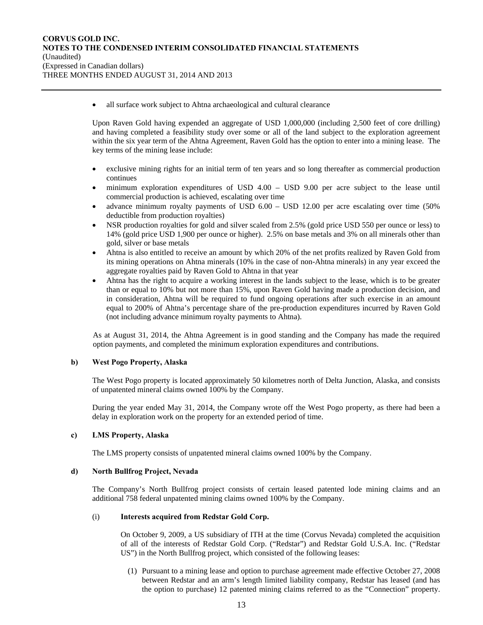all surface work subject to Ahtna archaeological and cultural clearance

Upon Raven Gold having expended an aggregate of USD 1,000,000 (including 2,500 feet of core drilling) and having completed a feasibility study over some or all of the land subject to the exploration agreement within the six year term of the Ahtna Agreement, Raven Gold has the option to enter into a mining lease. The key terms of the mining lease include:

- exclusive mining rights for an initial term of ten years and so long thereafter as commercial production continues
- minimum exploration expenditures of USD 4.00 USD 9.00 per acre subject to the lease until commercial production is achieved, escalating over time
- advance minimum royalty payments of USD 6.00 USD 12.00 per acre escalating over time (50% deductible from production royalties)
- NSR production royalties for gold and silver scaled from 2.5% (gold price USD 550 per ounce or less) to 14% (gold price USD 1,900 per ounce or higher). 2.5% on base metals and 3% on all minerals other than gold, silver or base metals
- Ahtna is also entitled to receive an amount by which 20% of the net profits realized by Raven Gold from its mining operations on Ahtna minerals (10% in the case of non-Ahtna minerals) in any year exceed the aggregate royalties paid by Raven Gold to Ahtna in that year
- Ahtna has the right to acquire a working interest in the lands subject to the lease, which is to be greater than or equal to 10% but not more than 15%, upon Raven Gold having made a production decision, and in consideration, Ahtna will be required to fund ongoing operations after such exercise in an amount equal to 200% of Ahtna's percentage share of the pre-production expenditures incurred by Raven Gold (not including advance minimum royalty payments to Ahtna).

As at August 31, 2014, the Ahtna Agreement is in good standing and the Company has made the required option payments, and completed the minimum exploration expenditures and contributions.

# **b) West Pogo Property, Alaska**

The West Pogo property is located approximately 50 kilometres north of Delta Junction, Alaska, and consists of unpatented mineral claims owned 100% by the Company.

During the year ended May 31, 2014, the Company wrote off the West Pogo property, as there had been a delay in exploration work on the property for an extended period of time.

# **c) LMS Property, Alaska**

The LMS property consists of unpatented mineral claims owned 100% by the Company.

## **d) North Bullfrog Project, Nevada**

The Company's North Bullfrog project consists of certain leased patented lode mining claims and an additional 758 federal unpatented mining claims owned 100% by the Company.

## (i) **Interests acquired from Redstar Gold Corp.**

On October 9, 2009, a US subsidiary of ITH at the time (Corvus Nevada) completed the acquisition of all of the interests of Redstar Gold Corp. ("Redstar") and Redstar Gold U.S.A. Inc. ("Redstar US") in the North Bullfrog project, which consisted of the following leases:

(1) Pursuant to a mining lease and option to purchase agreement made effective October 27, 2008 between Redstar and an arm's length limited liability company, Redstar has leased (and has the option to purchase) 12 patented mining claims referred to as the "Connection" property.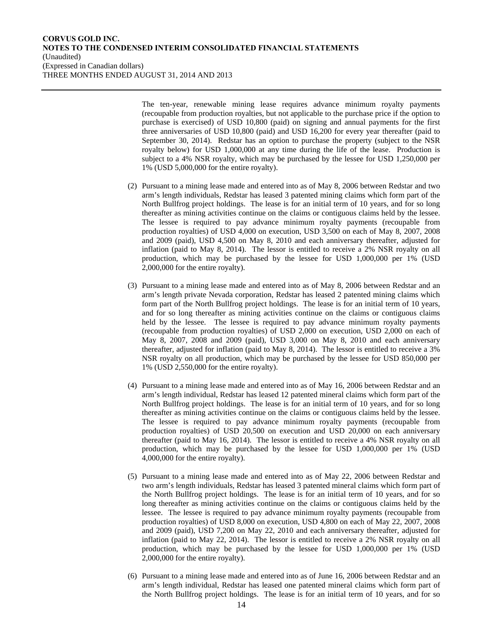The ten-year, renewable mining lease requires advance minimum royalty payments (recoupable from production royalties, but not applicable to the purchase price if the option to purchase is exercised) of USD 10,800 (paid) on signing and annual payments for the first three anniversaries of USD 10,800 (paid) and USD 16,200 for every year thereafter (paid to September 30, 2014). Redstar has an option to purchase the property (subject to the NSR royalty below) for USD 1,000,000 at any time during the life of the lease. Production is subject to a 4% NSR royalty, which may be purchased by the lessee for USD 1,250,000 per 1% (USD 5,000,000 for the entire royalty).

- (2) Pursuant to a mining lease made and entered into as of May 8, 2006 between Redstar and two arm's length individuals, Redstar has leased 3 patented mining claims which form part of the North Bullfrog project holdings. The lease is for an initial term of 10 years, and for so long thereafter as mining activities continue on the claims or contiguous claims held by the lessee. The lessee is required to pay advance minimum royalty payments (recoupable from production royalties) of USD 4,000 on execution, USD 3,500 on each of May 8, 2007, 2008 and 2009 (paid), USD 4,500 on May 8, 2010 and each anniversary thereafter, adjusted for inflation (paid to May 8, 2014). The lessor is entitled to receive a 2% NSR royalty on all production, which may be purchased by the lessee for USD 1,000,000 per 1% (USD 2,000,000 for the entire royalty).
- (3) Pursuant to a mining lease made and entered into as of May 8, 2006 between Redstar and an arm's length private Nevada corporation, Redstar has leased 2 patented mining claims which form part of the North Bullfrog project holdings. The lease is for an initial term of 10 years, and for so long thereafter as mining activities continue on the claims or contiguous claims held by the lessee. The lessee is required to pay advance minimum royalty payments (recoupable from production royalties) of USD 2,000 on execution, USD 2,000 on each of May 8, 2007, 2008 and 2009 (paid), USD 3,000 on May 8, 2010 and each anniversary thereafter, adjusted for inflation (paid to May 8, 2014). The lessor is entitled to receive a 3% NSR royalty on all production, which may be purchased by the lessee for USD 850,000 per 1% (USD 2,550,000 for the entire royalty).
- (4) Pursuant to a mining lease made and entered into as of May 16, 2006 between Redstar and an arm's length individual, Redstar has leased 12 patented mineral claims which form part of the North Bullfrog project holdings. The lease is for an initial term of 10 years, and for so long thereafter as mining activities continue on the claims or contiguous claims held by the lessee. The lessee is required to pay advance minimum royalty payments (recoupable from production royalties) of USD 20,500 on execution and USD 20,000 on each anniversary thereafter (paid to May 16, 2014). The lessor is entitled to receive a 4% NSR royalty on all production, which may be purchased by the lessee for USD 1,000,000 per 1% (USD 4,000,000 for the entire royalty).
- (5) Pursuant to a mining lease made and entered into as of May 22, 2006 between Redstar and two arm's length individuals, Redstar has leased 3 patented mineral claims which form part of the North Bullfrog project holdings. The lease is for an initial term of 10 years, and for so long thereafter as mining activities continue on the claims or contiguous claims held by the lessee. The lessee is required to pay advance minimum royalty payments (recoupable from production royalties) of USD 8,000 on execution, USD 4,800 on each of May 22, 2007, 2008 and 2009 (paid), USD 7,200 on May 22, 2010 and each anniversary thereafter, adjusted for inflation (paid to May 22, 2014). The lessor is entitled to receive a 2% NSR royalty on all production, which may be purchased by the lessee for USD 1,000,000 per 1% (USD 2,000,000 for the entire royalty).
- (6) Pursuant to a mining lease made and entered into as of June 16, 2006 between Redstar and an arm's length individual, Redstar has leased one patented mineral claims which form part of the North Bullfrog project holdings. The lease is for an initial term of 10 years, and for so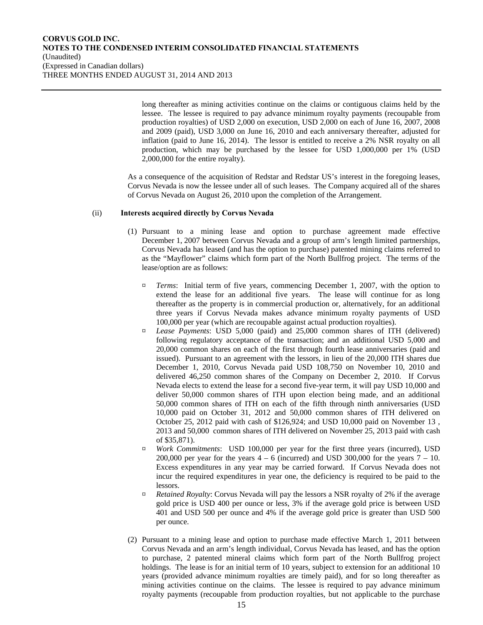long thereafter as mining activities continue on the claims or contiguous claims held by the lessee. The lessee is required to pay advance minimum royalty payments (recoupable from production royalties) of USD 2,000 on execution, USD 2,000 on each of June 16, 2007, 2008 and 2009 (paid), USD 3,000 on June 16, 2010 and each anniversary thereafter, adjusted for inflation (paid to June 16, 2014). The lessor is entitled to receive a 2% NSR royalty on all production, which may be purchased by the lessee for USD 1,000,000 per 1% (USD 2,000,000 for the entire royalty).

As a consequence of the acquisition of Redstar and Redstar US's interest in the foregoing leases, Corvus Nevada is now the lessee under all of such leases. The Company acquired all of the shares of Corvus Nevada on August 26, 2010 upon the completion of the Arrangement.

## (ii) **Interests acquired directly by Corvus Nevada**

- (1) Pursuant to a mining lease and option to purchase agreement made effective December 1, 2007 between Corvus Nevada and a group of arm's length limited partnerships, Corvus Nevada has leased (and has the option to purchase) patented mining claims referred to as the "Mayflower" claims which form part of the North Bullfrog project. The terms of the lease/option are as follows:
	- ¤ *Terms*: Initial term of five years, commencing December 1, 2007, with the option to extend the lease for an additional five years. The lease will continue for as long thereafter as the property is in commercial production or, alternatively, for an additional three years if Corvus Nevada makes advance minimum royalty payments of USD 100,000 per year (which are recoupable against actual production royalties).
	- ¤ *Lease Payments*: USD 5,000 (paid) and 25,000 common shares of ITH (delivered) following regulatory acceptance of the transaction; and an additional USD 5,000 and 20,000 common shares on each of the first through fourth lease anniversaries (paid and issued). Pursuant to an agreement with the lessors, in lieu of the 20,000 ITH shares due December 1, 2010, Corvus Nevada paid USD 108,750 on November 10, 2010 and delivered 46,250 common shares of the Company on December 2, 2010. If Corvus Nevada elects to extend the lease for a second five-year term, it will pay USD 10,000 and deliver 50,000 common shares of ITH upon election being made, and an additional 50,000 common shares of ITH on each of the fifth through ninth anniversaries (USD 10,000 paid on October 31, 2012 and 50,000 common shares of ITH delivered on October 25, 2012 paid with cash of \$126,924; and USD 10,000 paid on November 13 , 2013 and 50,000 common shares of ITH delivered on November 25, 2013 paid with cash of \$35,871).
	- ¤ *Work Commitments*: USD 100,000 per year for the first three years (incurred), USD 200,000 per year for the years  $4 - 6$  (incurred) and USD 300,000 for the years  $7 - 10$ . Excess expenditures in any year may be carried forward. If Corvus Nevada does not incur the required expenditures in year one, the deficiency is required to be paid to the lessors.
	- ¤ *Retained Royalty*: Corvus Nevada will pay the lessors a NSR royalty of 2% if the average gold price is USD 400 per ounce or less, 3% if the average gold price is between USD 401 and USD 500 per ounce and 4% if the average gold price is greater than USD 500 per ounce.
- (2) Pursuant to a mining lease and option to purchase made effective March 1, 2011 between Corvus Nevada and an arm's length individual, Corvus Nevada has leased, and has the option to purchase, 2 patented mineral claims which form part of the North Bullfrog project holdings. The lease is for an initial term of 10 years, subject to extension for an additional 10 years (provided advance minimum royalties are timely paid), and for so long thereafter as mining activities continue on the claims. The lessee is required to pay advance minimum royalty payments (recoupable from production royalties, but not applicable to the purchase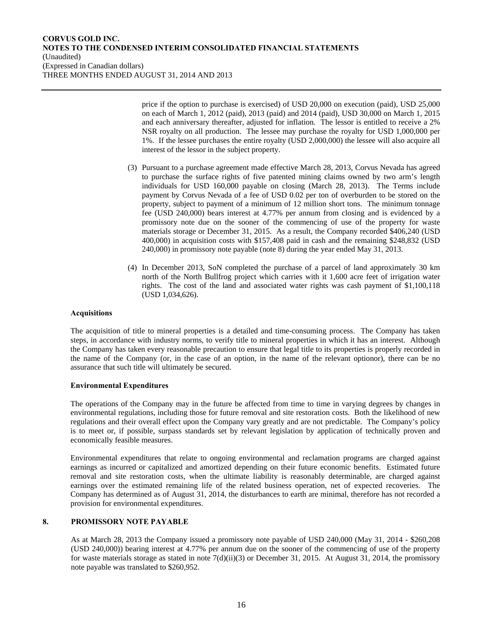price if the option to purchase is exercised) of USD 20,000 on execution (paid), USD 25,000 on each of March 1, 2012 (paid), 2013 (paid) and 2014 (paid), USD 30,000 on March 1, 2015 and each anniversary thereafter, adjusted for inflation. The lessor is entitled to receive a 2% NSR royalty on all production. The lessee may purchase the royalty for USD 1,000,000 per 1%. If the lessee purchases the entire royalty (USD 2,000,000) the lessee will also acquire all interest of the lessor in the subject property.

- (3) Pursuant to a purchase agreement made effective March 28, 2013, Corvus Nevada has agreed to purchase the surface rights of five patented mining claims owned by two arm's length individuals for USD 160,000 payable on closing (March 28, 2013). The Terms include payment by Corvus Nevada of a fee of USD 0.02 per ton of overburden to be stored on the property, subject to payment of a minimum of 12 million short tons. The minimum tonnage fee (USD 240,000) bears interest at 4.77% per annum from closing and is evidenced by a promissory note due on the sooner of the commencing of use of the property for waste materials storage or December 31, 2015. As a result, the Company recorded \$406,240 (USD 400,000) in acquisition costs with \$157,408 paid in cash and the remaining \$248,832 (USD 240,000) in promissory note payable (note 8) during the year ended May 31, 2013.
- (4) In December 2013, SoN completed the purchase of a parcel of land approximately 30 km north of the North Bullfrog project which carries with it 1,600 acre feet of irrigation water rights. The cost of the land and associated water rights was cash payment of \$1,100,118 (USD 1,034,626).

## **Acquisitions**

The acquisition of title to mineral properties is a detailed and time-consuming process. The Company has taken steps, in accordance with industry norms, to verify title to mineral properties in which it has an interest. Although the Company has taken every reasonable precaution to ensure that legal title to its properties is properly recorded in the name of the Company (or, in the case of an option, in the name of the relevant optionor), there can be no assurance that such title will ultimately be secured.

# **Environmental Expenditures**

The operations of the Company may in the future be affected from time to time in varying degrees by changes in environmental regulations, including those for future removal and site restoration costs. Both the likelihood of new regulations and their overall effect upon the Company vary greatly and are not predictable. The Company's policy is to meet or, if possible, surpass standards set by relevant legislation by application of technically proven and economically feasible measures.

Environmental expenditures that relate to ongoing environmental and reclamation programs are charged against earnings as incurred or capitalized and amortized depending on their future economic benefits. Estimated future removal and site restoration costs, when the ultimate liability is reasonably determinable, are charged against earnings over the estimated remaining life of the related business operation, net of expected recoveries. The Company has determined as of August 31, 2014, the disturbances to earth are minimal, therefore has not recorded a provision for environmental expenditures.

## **8. PROMISSORY NOTE PAYABLE**

As at March 28, 2013 the Company issued a promissory note payable of USD 240,000 (May 31, 2014 - \$260,208 (USD 240,000)) bearing interest at 4.77% per annum due on the sooner of the commencing of use of the property for waste materials storage as stated in note  $7(d)(ii)(3)$  or December 31, 2015. At August 31, 2014, the promissory note payable was translated to \$260,952.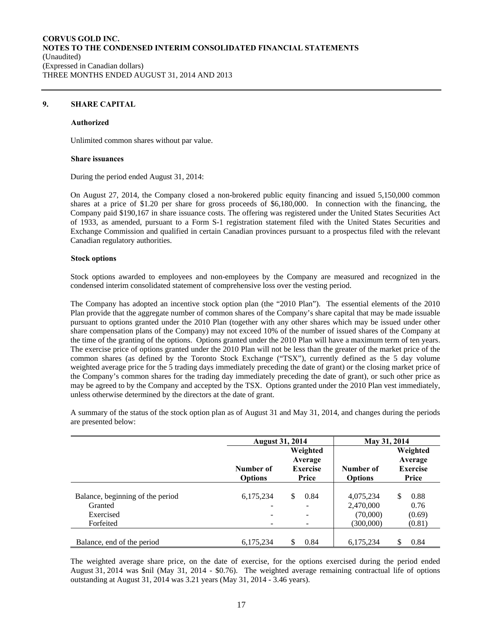# **9. SHARE CAPITAL**

#### **Authorized**

Unlimited common shares without par value.

#### **Share issuances**

During the period ended August 31, 2014:

On August 27, 2014, the Company closed a non-brokered public equity financing and issued 5,150,000 common shares at a price of \$1.20 per share for gross proceeds of \$6,180,000. In connection with the financing, the Company paid \$190,167 in share issuance costs. The offering was registered under the United States Securities Act of 1933, as amended, pursuant to a Form S-1 registration statement filed with the United States Securities and Exchange Commission and qualified in certain Canadian provinces pursuant to a prospectus filed with the relevant Canadian regulatory authorities.

## **Stock options**

Stock options awarded to employees and non-employees by the Company are measured and recognized in the condensed interim consolidated statement of comprehensive loss over the vesting period.

The Company has adopted an incentive stock option plan (the "2010 Plan"). The essential elements of the 2010 Plan provide that the aggregate number of common shares of the Company's share capital that may be made issuable pursuant to options granted under the 2010 Plan (together with any other shares which may be issued under other share compensation plans of the Company) may not exceed 10% of the number of issued shares of the Company at the time of the granting of the options. Options granted under the 2010 Plan will have a maximum term of ten years. The exercise price of options granted under the 2010 Plan will not be less than the greater of the market price of the common shares (as defined by the Toronto Stock Exchange ("TSX"), currently defined as the 5 day volume weighted average price for the 5 trading days immediately preceding the date of grant) or the closing market price of the Company's common shares for the trading day immediately preceding the date of grant), or such other price as may be agreed to by the Company and accepted by the TSX. Options granted under the 2010 Plan vest immediately, unless otherwise determined by the directors at the date of grant.

A summary of the status of the stock option plan as of August 31 and May 31, 2014, and changes during the periods are presented below:

|                                             | <b>August 31, 2014</b>                |                                                 | May 31, 2014                |                                                 |
|---------------------------------------------|---------------------------------------|-------------------------------------------------|-----------------------------|-------------------------------------------------|
|                                             | Number of<br><b>Options</b>           | Weighted<br>Average<br><b>Exercise</b><br>Price | Number of<br><b>Options</b> | Weighted<br>Average<br><b>Exercise</b><br>Price |
| Balance, beginning of the period<br>Granted | 6,175,234<br>$\overline{\phantom{0}}$ | \$<br>0.84<br>$\overline{\phantom{0}}$          | 4,075,234<br>2,470,000      | \$<br>0.88<br>0.76                              |
| Exercised<br>Forfeited                      |                                       | $\overline{\phantom{0}}$                        | (70,000)<br>(300,000)       | (0.69)<br>(0.81)                                |
| Balance, end of the period                  | 6,175,234                             | 0.84                                            | 6,175,234                   | S<br>0.84                                       |

The weighted average share price, on the date of exercise, for the options exercised during the period ended August 31, 2014 was \$nil (May 31, 2014 - \$0.76). The weighted average remaining contractual life of options outstanding at August 31, 2014 was 3.21 years (May 31, 2014 - 3.46 years).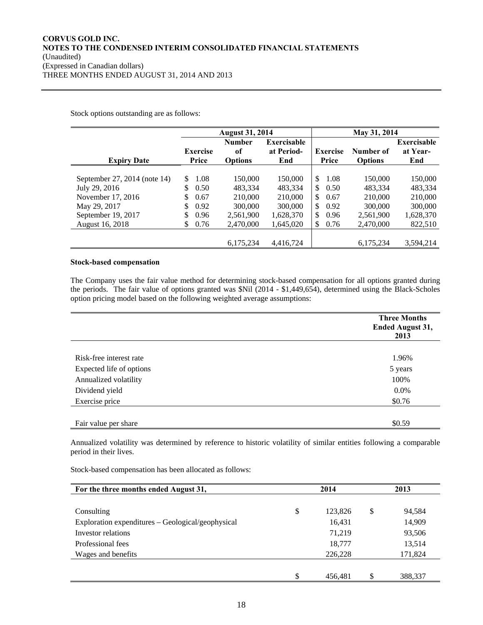Stock options outstanding are as follows:

|                              |                 | <b>August 31, 2014</b> |             |                      | May 31, 2014   |                    |
|------------------------------|-----------------|------------------------|-------------|----------------------|----------------|--------------------|
|                              |                 | <b>Number</b>          | Exercisable |                      |                | <b>Exercisable</b> |
|                              | <b>Exercise</b> | of                     | at Period-  | <b>Exercise</b>      | Number of      | at Year-           |
| <b>Expiry Date</b>           | Price           | <b>Options</b>         | End         | Price                | <b>Options</b> | End                |
|                              |                 |                        |             |                      |                |                    |
| September 27, 2014 (note 14) | 1.08<br>\$      | 150,000                | 150,000     | \$<br>1.08           | 150,000        | 150,000            |
| July 29, 2016                | \$<br>0.50      | 483.334                | 483,334     | 0.50<br>\$.          | 483,334        | 483,334            |
| November 17, 2016            | \$<br>0.67      | 210,000                | 210,000     | <sup>S</sup><br>0.67 | 210,000        | 210,000            |
| May 29, 2017                 | \$<br>0.92      | 300,000                | 300,000     | \$<br>0.92           | 300,000        | 300,000            |
| September 19, 2017           | \$<br>0.96      | 2,561,900              | 1,628,370   | \$.<br>0.96          | 2,561,900      | 1,628,370          |
| August 16, 2018              | \$<br>0.76      | 2,470,000              | 1,645,020   | 0.76<br>\$.          | 2,470,000      | 822,510            |
|                              |                 |                        |             |                      |                |                    |
|                              |                 | 6.175.234              | 4,416,724   |                      | 6.175.234      | 3,594,214          |

## **Stock-based compensation**

The Company uses the fair value method for determining stock-based compensation for all options granted during the periods. The fair value of options granted was \$Nil (2014 - \$1,449,654), determined using the Black-Scholes option pricing model based on the following weighted average assumptions:

|                          | <b>Three Months</b><br>Ended August 31,<br>2013 |
|--------------------------|-------------------------------------------------|
|                          |                                                 |
| Risk-free interest rate  | 1.96%                                           |
| Expected life of options | 5 years                                         |
| Annualized volatility    | 100%                                            |
| Dividend yield           | 0.0%                                            |
| Exercise price           | \$0.76                                          |
|                          |                                                 |
| Fair value per share     | \$0.59                                          |

Annualized volatility was determined by reference to historic volatility of similar entities following a comparable period in their lives.

Stock-based compensation has been allocated as follows:

| For the three months ended August 31,             | 2014          |    |         |
|---------------------------------------------------|---------------|----|---------|
| Consulting                                        | \$<br>123,826 | \$ | 94,584  |
| Exploration expenditures – Geological/geophysical | 16,431        |    | 14,909  |
| Investor relations                                | 71,219        |    | 93,506  |
| Professional fees                                 | 18,777        |    | 13,514  |
| Wages and benefits                                | 226,228       |    | 171,824 |
|                                                   |               |    |         |
|                                                   | \$<br>456,481 | \$ | 388,337 |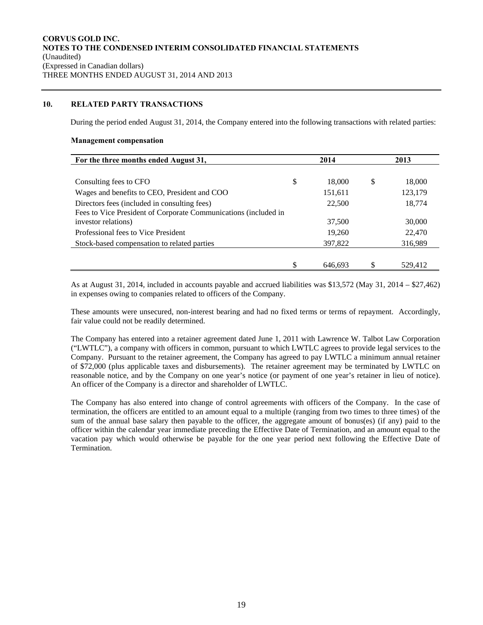# **10. RELATED PARTY TRANSACTIONS**

During the period ended August 31, 2014, the Company entered into the following transactions with related parties:

#### **Management compensation**

| For the three months ended August 31,                           | 2014 |         |   | 2013    |
|-----------------------------------------------------------------|------|---------|---|---------|
|                                                                 |      |         |   |         |
| Consulting fees to CFO                                          | \$   | 18,000  | S | 18,000  |
| Wages and benefits to CEO, President and COO                    |      | 151,611 |   | 123,179 |
| Directors fees (included in consulting fees)                    |      | 22,500  |   | 18,774  |
| Fees to Vice President of Corporate Communications (included in |      |         |   |         |
| investor relations)                                             |      | 37,500  |   | 30,000  |
| Professional fees to Vice President                             |      | 19,260  |   | 22,470  |
| Stock-based compensation to related parties                     |      | 397,822 |   | 316,989 |
|                                                                 |      |         |   |         |
|                                                                 | S    | 646.693 |   | 529.412 |

As at August 31, 2014, included in accounts payable and accrued liabilities was \$13,572 (May 31, 2014 – \$27,462) in expenses owing to companies related to officers of the Company.

These amounts were unsecured, non-interest bearing and had no fixed terms or terms of repayment. Accordingly, fair value could not be readily determined.

The Company has entered into a retainer agreement dated June 1, 2011 with Lawrence W. Talbot Law Corporation ("LWTLC"), a company with officers in common, pursuant to which LWTLC agrees to provide legal services to the Company. Pursuant to the retainer agreement, the Company has agreed to pay LWTLC a minimum annual retainer of \$72,000 (plus applicable taxes and disbursements). The retainer agreement may be terminated by LWTLC on reasonable notice, and by the Company on one year's notice (or payment of one year's retainer in lieu of notice). An officer of the Company is a director and shareholder of LWTLC.

The Company has also entered into change of control agreements with officers of the Company. In the case of termination, the officers are entitled to an amount equal to a multiple (ranging from two times to three times) of the sum of the annual base salary then payable to the officer, the aggregate amount of bonus(es) (if any) paid to the officer within the calendar year immediate preceding the Effective Date of Termination, and an amount equal to the vacation pay which would otherwise be payable for the one year period next following the Effective Date of Termination.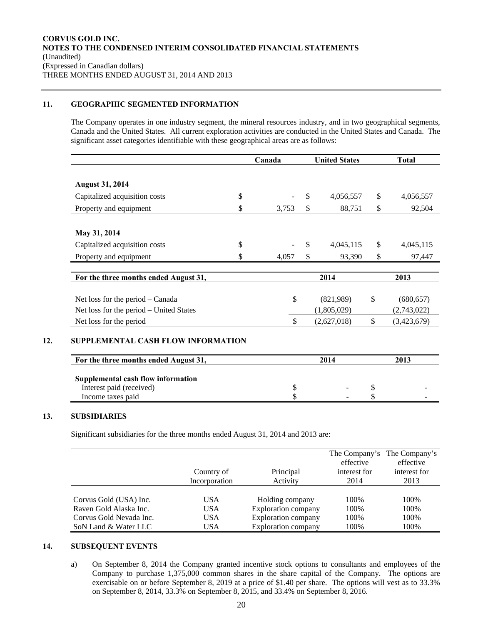# **11. GEOGRAPHIC SEGMENTED INFORMATION**

The Company operates in one industry segment, the mineral resources industry, and in two geographical segments, Canada and the United States. All current exploration activities are conducted in the United States and Canada. The significant asset categories identifiable with these geographical areas are as follows:

|                                         | Canada      | <b>United States</b> |             | <b>Total</b>     |  |
|-----------------------------------------|-------------|----------------------|-------------|------------------|--|
|                                         |             |                      |             |                  |  |
| <b>August 31, 2014</b>                  |             |                      |             |                  |  |
| Capitalized acquisition costs           | \$          | \$                   | 4,056,557   | \$<br>4,056,557  |  |
| Property and equipment                  | \$<br>3,753 | \$                   | 88,751      | \$<br>92,504     |  |
| May 31, 2014                            |             |                      |             |                  |  |
| Capitalized acquisition costs           | \$          | \$                   | 4,045,115   | \$<br>4,045,115  |  |
| Property and equipment                  | 4,057       | \$                   | 93,390      | \$<br>97,447     |  |
| For the three months ended August 31,   |             | 2014                 |             | 2013             |  |
| Net loss for the period – Canada        | \$          |                      | (821,989)   | \$<br>(680, 657) |  |
|                                         |             |                      | (1,805,029) | (2,743,022)      |  |
| Net loss for the period – United States |             |                      |             | (3,423,679)      |  |

| Supplemental cash flow information |                          |               |
|------------------------------------|--------------------------|---------------|
| Interest paid (received)           | -                        | -             |
| Income taxes paid                  | $\overline{\phantom{a}}$ | <u>. на п</u> |

# **13. SUBSIDIARIES**

Significant subsidiaries for the three months ended August 31, 2014 and 2013 are:

|                         | Country of<br>Incorporation | Principal<br>Activity      | effective<br>interest for<br>2014 | The Company's The Company's<br>effective<br>interest for<br>2013 |
|-------------------------|-----------------------------|----------------------------|-----------------------------------|------------------------------------------------------------------|
| Corvus Gold (USA) Inc.  | <b>USA</b>                  | Holding company            | 100%                              | 100%                                                             |
| Raven Gold Alaska Inc.  | <b>USA</b>                  | <b>Exploration company</b> | 100%                              | 100%                                                             |
| Corvus Gold Nevada Inc. | <b>USA</b>                  | <b>Exploration company</b> | 100%                              | 100%                                                             |
| SoN Land & Water LLC    | USA                         | <b>Exploration company</b> | 100%                              | 100%                                                             |

# **14. SUBSEQUENT EVENTS**

a) On September 8, 2014 the Company granted incentive stock options to consultants and employees of the Company to purchase 1,375,000 common shares in the share capital of the Company. The options are exercisable on or before September 8, 2019 at a price of \$1.40 per share. The options will vest as to 33.3% on September 8, 2014, 33.3% on September 8, 2015, and 33.4% on September 8, 2016.